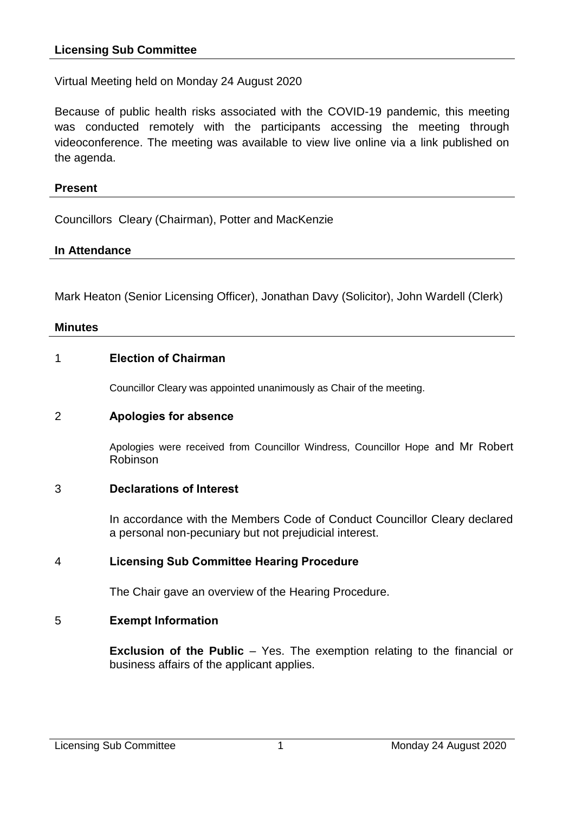Virtual Meeting held on Monday 24 August 2020

Because of public health risks associated with the COVID-19 pandemic, this meeting was conducted remotely with the participants accessing the meeting through videoconference. The meeting was available to view live online via a link published on the agenda.

### **Present**

Councillors Cleary (Chairman), Potter and MacKenzie

### **In Attendance**

Mark Heaton (Senior Licensing Officer), Jonathan Davy (Solicitor), John Wardell (Clerk)

#### **Minutes**

### 1 **Election of Chairman**

Councillor Cleary was appointed unanimously as Chair of the meeting.

#### 2 **Apologies for absence**

Apologies were received from Councillor Windress, Councillor Hope and Mr Robert Robinson

## 3 **Declarations of Interest**

In accordance with the Members Code of Conduct Councillor Cleary declared a personal non-pecuniary but not prejudicial interest.

## 4 **Licensing Sub Committee Hearing Procedure**

The Chair gave an overview of the Hearing Procedure.

## 5 **Exempt Information**

**Exclusion of the Public** – Yes. The exemption relating to the financial or business affairs of the applicant applies.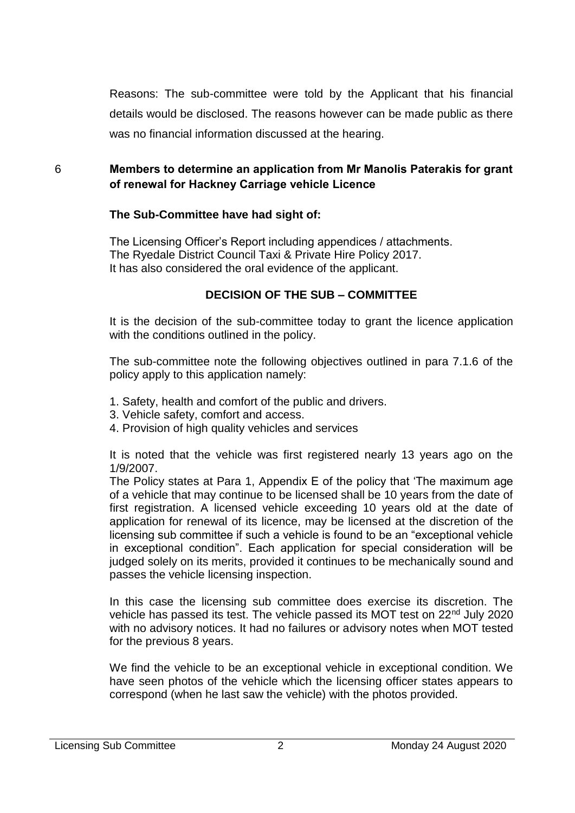Reasons: The sub-committee were told by the Applicant that his financial details would be disclosed. The reasons however can be made public as there was no financial information discussed at the hearing.

# 6 **Members to determine an application from Mr Manolis Paterakis for grant of renewal for Hackney Carriage vehicle Licence**

### **The Sub-Committee have had sight of:**

The Licensing Officer's Report including appendices / attachments. The Ryedale District Council Taxi & Private Hire Policy 2017. It has also considered the oral evidence of the applicant.

## **DECISION OF THE SUB – COMMITTEE**

It is the decision of the sub-committee today to grant the licence application with the conditions outlined in the policy.

The sub-committee note the following objectives outlined in para 7.1.6 of the policy apply to this application namely:

- 1. Safety, health and comfort of the public and drivers.
- 3. Vehicle safety, comfort and access.
- 4. Provision of high quality vehicles and services

It is noted that the vehicle was first registered nearly 13 years ago on the 1/9/2007.

The Policy states at Para 1, Appendix E of the policy that 'The maximum age of a vehicle that may continue to be licensed shall be 10 years from the date of first registration. A licensed vehicle exceeding 10 years old at the date of application for renewal of its licence, may be licensed at the discretion of the licensing sub committee if such a vehicle is found to be an "exceptional vehicle in exceptional condition". Each application for special consideration will be judged solely on its merits, provided it continues to be mechanically sound and passes the vehicle licensing inspection.

In this case the licensing sub committee does exercise its discretion. The vehicle has passed its test. The vehicle passed its MOT test on 22nd July 2020 with no advisory notices. It had no failures or advisory notes when MOT tested for the previous 8 years.

We find the vehicle to be an exceptional vehicle in exceptional condition. We have seen photos of the vehicle which the licensing officer states appears to correspond (when he last saw the vehicle) with the photos provided.